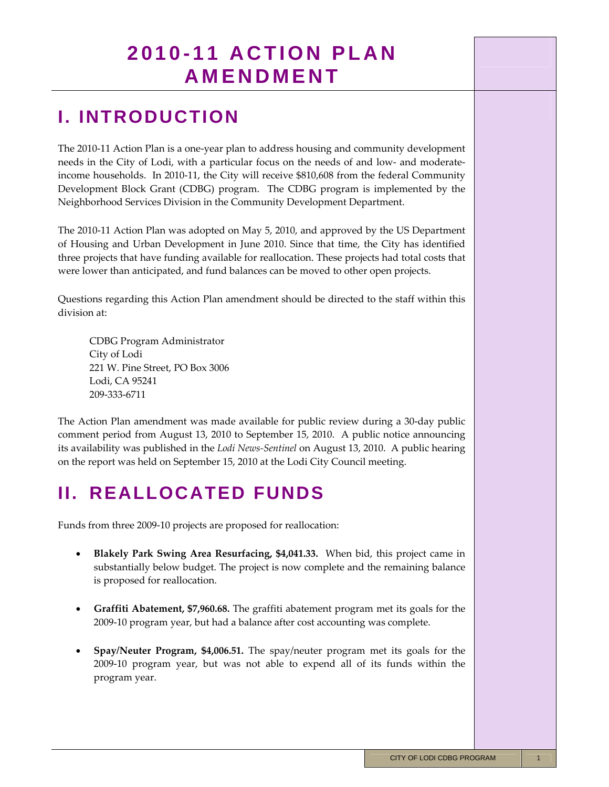## **I. INTRODUCTION**

The 2010‐11 Action Plan is a one‐year plan to address housing and community development needs in the City of Lodi, with a particular focus on the needs of and low- and moderateincome households. In 2010‐11, the City will receive \$810,608 from the federal Community Development Block Grant (CDBG) program. The CDBG program is implemented by the Neighborhood Services Division in the Community Development Department.

The 2010‐11 Action Plan was adopted on May 5, 2010, and approved by the US Department of Housing and Urban Development in June 2010. Since that time, the City has identified three projects that have funding available for reallocation. These projects had total costs that were lower than anticipated, and fund balances can be moved to other open projects.

Questions regarding this Action Plan amendment should be directed to the staff within this division at:

CDBG Program Administrator City of Lodi 221 W. Pine Street, PO Box 3006 Lodi, CA 95241 209‐333‐6711

The Action Plan amendment was made available for public review during a 30‐day public comment period from August 13, 2010 to September 15, 2010. A public notice announcing its availability was published in the *Lodi News‐Sentinel* on August 13, 2010. A public hearing on the report was held on September 15, 2010 at the Lodi City Council meeting.

## **II. REALLOCATED FUNDS**

Funds from three 2009-10 projects are proposed for reallocation:

- **Blakely Park Swing Area Resurfacing, \$4,041.33.** When bid, this project came in substantially below budget. The project is now complete and the remaining balance is proposed for reallocation.
- **Graffiti Abatement, \$7,960.68.** The graffiti abatement program met its goals for the 2009‐10 program year, but had a balance after cost accounting was complete.
- **Spay/Neuter Program, \$4,006.51.** The spay/neuter program met its goals for the 2009‐10 program year, but was not able to expend all of its funds within the program year.